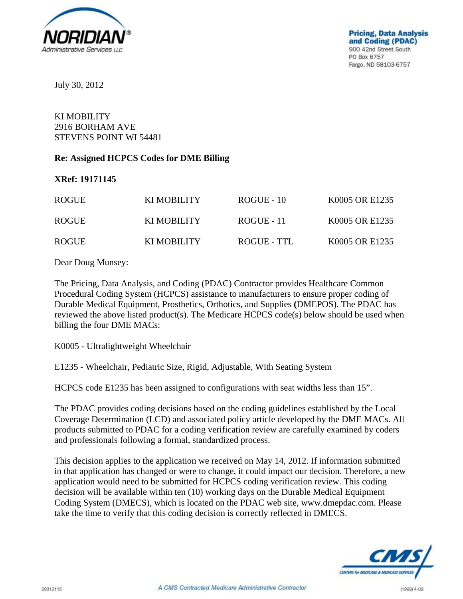

July 30, 2012

## KI MOBILITY 2916 BORHAM AVE STEVENS POINT WI 54481

## **Re: Assigned HCPCS Codes for DME Billing**

## **XRef: 19171145**

| <b>ROGUE</b> | KI MOBILITY | $ROGUE - 10$ | K0005 OR E1235 |
|--------------|-------------|--------------|----------------|
| <b>ROGUE</b> | KI MOBILITY | $ROGUE - 11$ | K0005 OR E1235 |
| <b>ROGUE</b> | KI MOBILITY | ROGUE - TTL  | K0005 OR E1235 |

Dear Doug Munsey:

The Pricing, Data Analysis, and Coding (PDAC) Contractor provides Healthcare Common Procedural Coding System (HCPCS) assistance to manufacturers to ensure proper coding of Durable Medical Equipment, Prosthetics, Orthotics, and Supplies **(**DMEPOS). The PDAC has reviewed the above listed product(s). The Medicare HCPCS code(s) below should be used when billing the four DME MACs:

K0005 - Ultralightweight Wheelchair

E1235 - Wheelchair, Pediatric Size, Rigid, Adjustable, With Seating System

HCPCS code E1235 has been assigned to configurations with seat widths less than 15".

The PDAC provides coding decisions based on the coding guidelines established by the Local Coverage Determination (LCD) and associated policy article developed by the DME MACs. All products submitted to PDAC for a coding verification review are carefully examined by coders and professionals following a formal, standardized process.

This decision applies to the application we received on May 14, 2012. If information submitted in that application has changed or were to change, it could impact our decision. Therefore, a new application would need to be submitted for HCPCS coding verification review. This coding decision will be available within ten (10) working days on the Durable Medical Equipment Coding System (DMECS), which is located on the PDAC web site, www.dmepdac.com. Please take the time to verify that this coding decision is correctly reflected in DMECS.